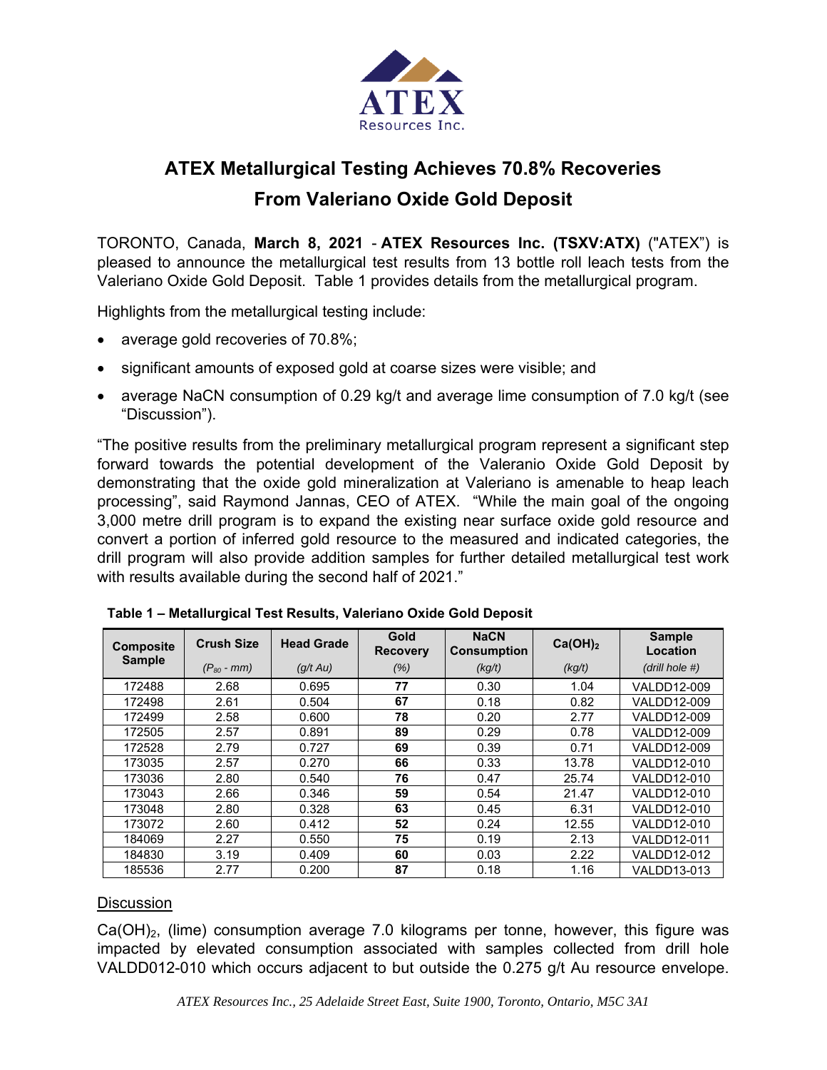

# **ATEX Metallurgical Testing Achieves 70.8% Recoveries From Valeriano Oxide Gold Deposit**

TORONTO, Canada, **March 8, 2021** - **ATEX Resources Inc. (TSXV:ATX)** ("ATEX") is pleased to announce the metallurgical test results from 13 bottle roll leach tests from the Valeriano Oxide Gold Deposit. Table 1 provides details from the metallurgical program.

Highlights from the metallurgical testing include:

- average gold recoveries of 70.8%;
- significant amounts of exposed gold at coarse sizes were visible; and
- average NaCN consumption of 0.29 kg/t and average lime consumption of 7.0 kg/t (see "Discussion").

"The positive results from the preliminary metallurgical program represent a significant step forward towards the potential development of the Valeranio Oxide Gold Deposit by demonstrating that the oxide gold mineralization at Valeriano is amenable to heap leach processing", said Raymond Jannas, CEO of ATEX. "While the main goal of the ongoing 3,000 metre drill program is to expand the existing near surface oxide gold resource and convert a portion of inferred gold resource to the measured and indicated categories, the drill program will also provide addition samples for further detailed metallurgical test work with results available during the second half of 2021."

| <b>Composite</b><br><b>Sample</b> | <b>Crush Size</b> | <b>Head Grade</b> | Gold<br><b>Recovery</b> | <b>NaCN</b><br><b>Consumption</b> | Ca(OH) <sub>2</sub> | <b>Sample</b><br>Location |
|-----------------------------------|-------------------|-------------------|-------------------------|-----------------------------------|---------------------|---------------------------|
|                                   | $(P_{80}$ - mm)   | (q/t Au)          | (% )                    | (kg/t)                            | (kg/t)              | (drill hole #)            |
| 172488                            | 2.68              | 0.695             | 77                      | 0.30                              | 1.04                | VALDD12-009               |
| 172498                            | 2.61              | 0.504             | 67                      | 0.18                              | 0.82                | VALDD12-009               |
| 172499                            | 2.58              | 0.600             | 78                      | 0.20                              | 2.77                | VALDD12-009               |
| 172505                            | 2.57              | 0.891             | 89                      | 0.29                              | 0.78                | VALDD12-009               |
| 172528                            | 2.79              | 0.727             | 69                      | 0.39                              | 0.71                | VALDD12-009               |
| 173035                            | 2.57              | 0.270             | 66                      | 0.33                              | 13.78               | VALDD12-010               |
| 173036                            | 2.80              | 0.540             | 76                      | 0.47                              | 25.74               | VALDD12-010               |
| 173043                            | 2.66              | 0.346             | 59                      | 0.54                              | 21.47               | VALDD12-010               |
| 173048                            | 2.80              | 0.328             | 63                      | 0.45                              | 6.31                | VALDD12-010               |
| 173072                            | 2.60              | 0.412             | 52                      | 0.24                              | 12.55               | VALDD12-010               |
| 184069                            | 2.27              | 0.550             | 75                      | 0.19                              | 2.13                | VALDD12-011               |
| 184830                            | 3.19              | 0.409             | 60                      | 0.03                              | 2.22                | VALDD12-012               |
| 185536                            | 2.77              | 0.200             | 87                      | 0.18                              | 1.16                | VALDD13-013               |

#### **Discussion**

 $Ca(OH)_2$ , (lime) consumption average 7.0 kilograms per tonne, however, this figure was impacted by elevated consumption associated with samples collected from drill hole VALDD012-010 which occurs adjacent to but outside the 0.275 g/t Au resource envelope.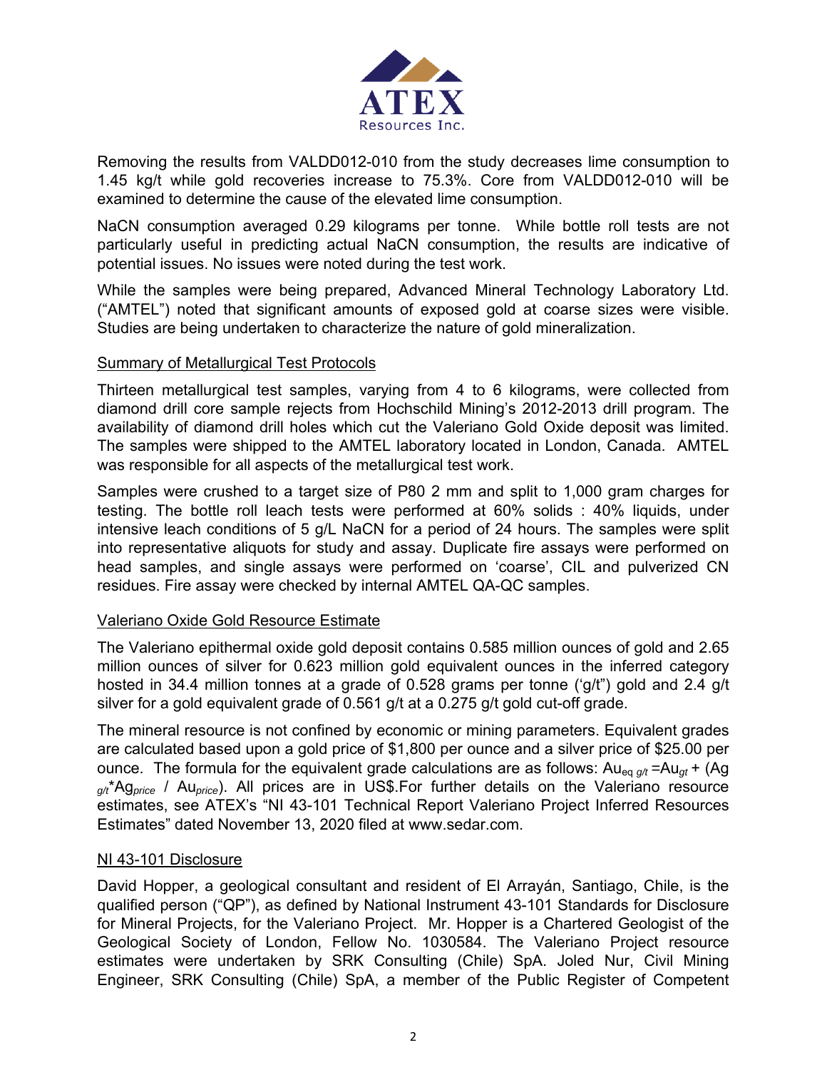

Removing the results from VALDD012-010 from the study decreases lime consumption to 1.45 kg/t while gold recoveries increase to 75.3%. Core from VALDD012-010 will be examined to determine the cause of the elevated lime consumption.

NaCN consumption averaged 0.29 kilograms per tonne. While bottle roll tests are not particularly useful in predicting actual NaCN consumption, the results are indicative of potential issues. No issues were noted during the test work.

While the samples were being prepared, Advanced Mineral Technology Laboratory Ltd. ("AMTEL") noted that significant amounts of exposed gold at coarse sizes were visible. Studies are being undertaken to characterize the nature of gold mineralization.

## Summary of Metallurgical Test Protocols

Thirteen metallurgical test samples, varying from 4 to 6 kilograms, were collected from diamond drill core sample rejects from Hochschild Mining's 2012-2013 drill program. The availability of diamond drill holes which cut the Valeriano Gold Oxide deposit was limited. The samples were shipped to the AMTEL laboratory located in London, Canada. AMTEL was responsible for all aspects of the metallurgical test work.

Samples were crushed to a target size of P80 2 mm and split to 1,000 gram charges for testing. The bottle roll leach tests were performed at 60% solids : 40% liquids, under intensive leach conditions of 5 g/L NaCN for a period of 24 hours. The samples were split into representative aliquots for study and assay. Duplicate fire assays were performed on head samples, and single assays were performed on 'coarse', CIL and pulverized CN residues. Fire assay were checked by internal AMTEL QA-QC samples.

# Valeriano Oxide Gold Resource Estimate

The Valeriano epithermal oxide gold deposit contains 0.585 million ounces of gold and 2.65 million ounces of silver for 0.623 million gold equivalent ounces in the inferred category hosted in 34.4 million tonnes at a grade of 0.528 grams per tonne ('g/t") gold and 2.4 g/t silver for a gold equivalent grade of 0.561 g/t at a 0.275 g/t gold cut-off grade.

The mineral resource is not confined by economic or mining parameters. Equivalent grades are calculated based upon a gold price of \$1,800 per ounce and a silver price of \$25.00 per ounce. The formula for the equivalent grade calculations are as follows:  $Au_{eq} \gamma = Au_{gt} + (Ag)$ *g/t*\*Ag*price* / Au*price*). All prices are in US\$.For further details on the Valeriano resource estimates, see ATEX's "NI 43-101 Technical Report Valeriano Project Inferred Resources Estimates" dated November 13, 2020 filed at www.sedar.com.

### NI 43-101 Disclosure

David Hopper, a geological consultant and resident of El Arrayán, Santiago, Chile, is the qualified person ("QP"), as defined by National Instrument 43-101 Standards for Disclosure for Mineral Projects, for the Valeriano Project. Mr. Hopper is a Chartered Geologist of the Geological Society of London, Fellow No. 1030584. The Valeriano Project resource estimates were undertaken by SRK Consulting (Chile) SpA. Joled Nur, Civil Mining Engineer, SRK Consulting (Chile) SpA, a member of the Public Register of Competent